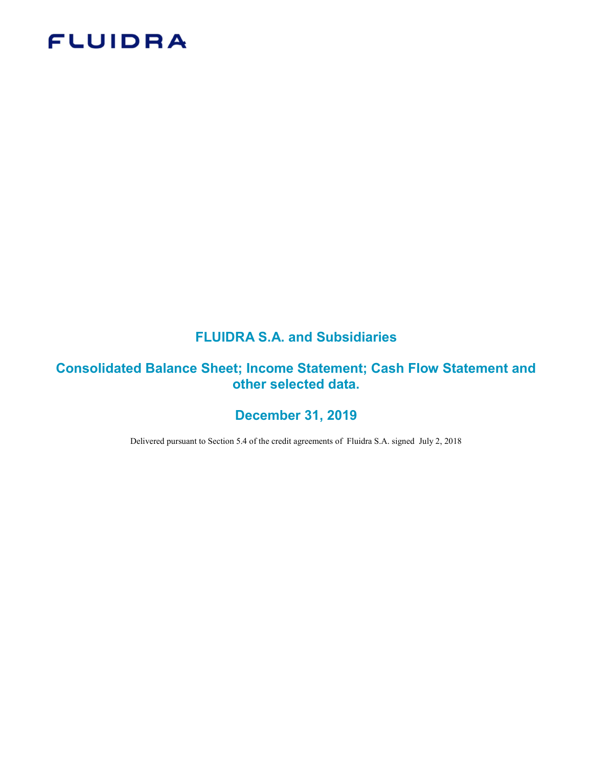# **FLUIDRA**

# FLUIDRA S.A. and Subsidiaries

# Consolidated Balance Sheet; Income Statement; Cash Flow Statement and other selected data.

# December 31, 2019

Delivered pursuant to Section 5.4 of the credit agreements of Fluidra S.A. signed July 2, 2018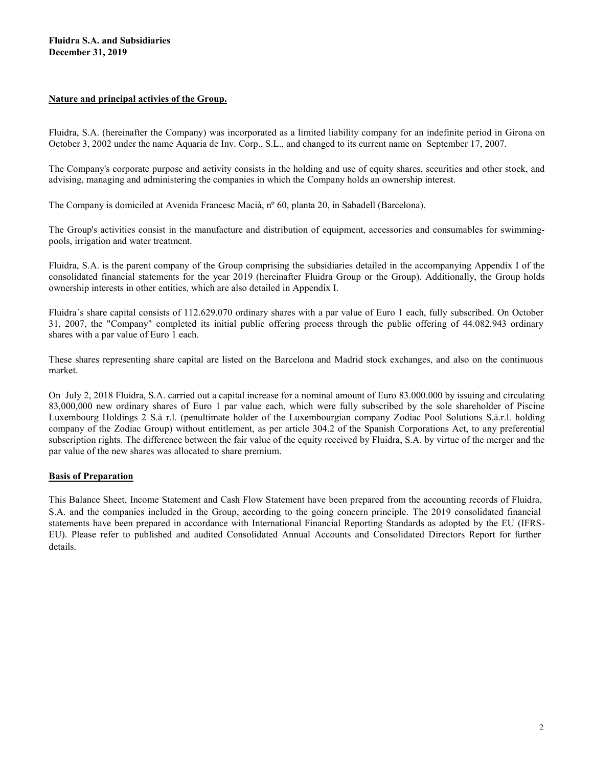#### Nature and principal activies of the Group.

Fluidra, S.A. (hereinafter the Company) was incorporated as a limited liability company for an indefinite period in Girona on October 3, 2002 under the name Aquaria de Inv. Corp., S.L., and changed to its current name on September 17, 2007.

The Company's corporate purpose and activity consists in the holding and use of equity shares, securities and other stock, and advising, managing and administering the companies in which the Company holds an ownership interest.

The Company is domiciled at Avenida Francesc Macià, nº 60, planta 20, in Sabadell (Barcelona).

The Group's activities consist in the manufacture and distribution of equipment, accessories and consumables for swimmingpools, irrigation and water treatment.

Fluidra, S.A. is the parent company of the Group comprising the subsidiaries detailed in the accompanying Appendix I of the consolidated financial statements for the year 2019 (hereinafter Fluidra Group or the Group). Additionally, the Group holds ownership interests in other entities, which are also detailed in Appendix I.

Fluidra´s share capital consists of 112.629.070 ordinary shares with a par value of Euro 1 each, fully subscribed. On October 31, 2007, the "Company" completed its initial public offering process through the public offering of 44.082.943 ordinary shares with a par value of Euro 1 each.

These shares representing share capital are listed on the Barcelona and Madrid stock exchanges, and also on the continuous market.

On July 2, 2018 Fluidra, S.A. carried out a capital increase for a nominal amount of Euro 83.000.000 by issuing and circulating 83,000,000 new ordinary shares of Euro 1 par value each, which were fully subscribed by the sole shareholder of Piscine Luxembourg Holdings 2 S.à r.l. (penultimate holder of the Luxembourgian company Zodiac Pool Solutions S.à.r.l. holding company of the Zodiac Group) without entitlement, as per article 304.2 of the Spanish Corporations Act, to any preferential subscription rights. The difference between the fair value of the equity received by Fluidra, S.A. by virtue of the merger and the par value of the new shares was allocated to share premium.

#### Basis of Preparation

This Balance Sheet, Income Statement and Cash Flow Statement have been prepared from the accounting records of Fluidra, S.A. and the companies included in the Group, according to the going concern principle. The 2019 consolidated financial statements have been prepared in accordance with International Financial Reporting Standards as adopted by the EU (IFRS-EU). Please refer to published and audited Consolidated Annual Accounts and Consolidated Directors Report for further details.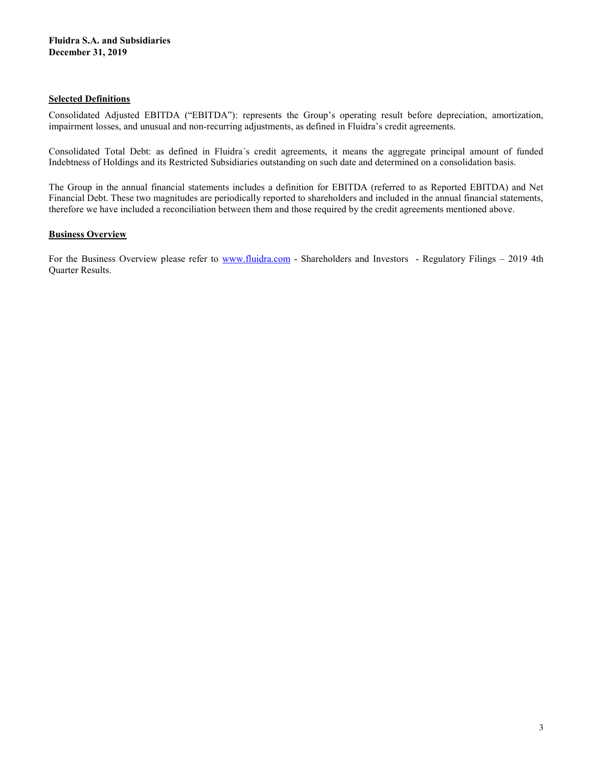#### Selected Definitions

Consolidated Adjusted EBITDA ("EBITDA"): represents the Group's operating result before depreciation, amortization, impairment losses, and unusual and non-recurring adjustments, as defined in Fluidra's credit agreements.

Consolidated Total Debt: as defined in Fluidra´s credit agreements, it means the aggregate principal amount of funded Indebtness of Holdings and its Restricted Subsidiaries outstanding on such date and determined on a consolidation basis.

The Group in the annual financial statements includes a definition for EBITDA (referred to as Reported EBITDA) and Net Financial Debt. These two magnitudes are periodically reported to shareholders and included in the annual financial statements, therefore we have included a reconciliation between them and those required by the credit agreements mentioned above.

### **Business Overview**

For the Business Overview please refer to www.fluidra.com - Shareholders and Investors - Regulatory Filings – 2019 4th Quarter Results.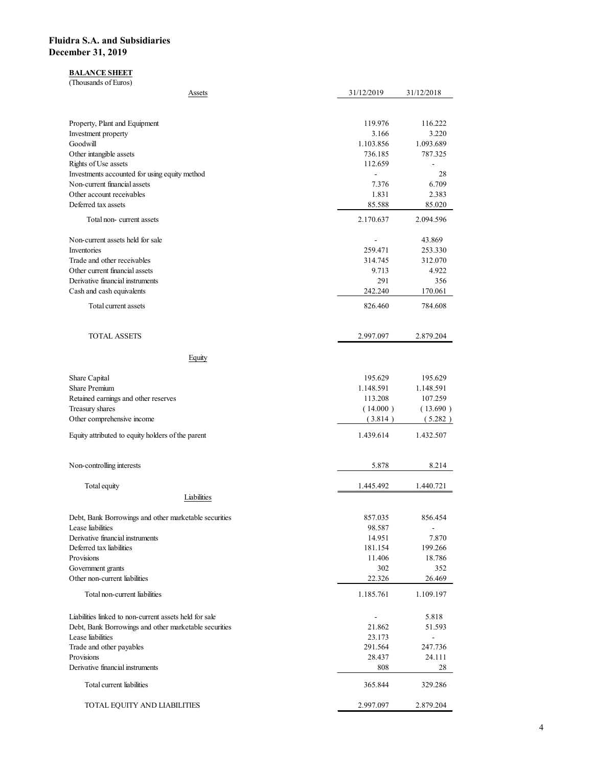### **BALANCE SHEET**

| idra S.A. and Subsidiaries                                                                                      |                                     |                          |
|-----------------------------------------------------------------------------------------------------------------|-------------------------------------|--------------------------|
|                                                                                                                 |                                     |                          |
|                                                                                                                 |                                     |                          |
|                                                                                                                 |                                     |                          |
| ember 31, 2019                                                                                                  |                                     |                          |
| <b>BALANCE SHEET</b><br>(Thousands of Euros)                                                                    |                                     |                          |
| Assets                                                                                                          | 31/12/2019                          | 31/12/2018               |
|                                                                                                                 |                                     |                          |
| Property, Plant and Equipment<br>Investment property                                                            | 119.976<br>3.166                    | 116.222<br>3.220         |
| Goodwill                                                                                                        | 1.103.856                           | 1.093.689                |
| Other intangible assets<br>Rights of Use assets                                                                 | 736.185<br>112.659                  | 787.325<br>$\sim$        |
| Investments accounted for using equity method                                                                   | $\mathcal{L}_{\mathcal{A}}$         | 28                       |
| Non-current financial assets<br>Other account receivables                                                       | 7.376<br>1.831                      | 6.709<br>2.383           |
| Deferred tax assets                                                                                             | 85.588                              | 85.020                   |
| Total non-current assets                                                                                        | 2.170.637                           | 2.094.596                |
| Non-current assets held for sale<br>Inventories                                                                 | $\overline{\phantom{a}}$<br>259.471 | 43.869<br>253.330        |
| Trade and other receivables                                                                                     | 314.745                             | 312.070                  |
| Other current financial assets<br>Derivative financial instruments                                              | 9.713<br>291                        | 4.922<br>356             |
| Cash and cash equivalents                                                                                       | 242.240                             | 170.061                  |
| Total current assets                                                                                            | 826.460                             | 784.608                  |
| <b>TOTAL ASSETS</b>                                                                                             | 2.997.097                           | 2.879.204                |
| Equity                                                                                                          |                                     |                          |
| Share Capital                                                                                                   | 195.629                             | 195.629                  |
| Share Premium                                                                                                   | 1.148.591                           | 1.148.591                |
| Retained earnings and other reserves<br>Treasury shares                                                         | 113.208<br>(14.000)                 | 107.259<br>(13.690)      |
| Other comprehensive income                                                                                      | (3.814)                             | (5.282)                  |
| Equity attributed to equity holders of the parent                                                               | 1.439.614                           | 1.432.507                |
| Non-controlling interests                                                                                       | 5.878                               | 8.214                    |
| Total equity                                                                                                    | 1.445.492                           | 1.440.721                |
| Liabilities                                                                                                     |                                     |                          |
| Debt, Bank Borrowings and other marketable securities                                                           | 857.035                             | 856.454                  |
| Lease liabilities<br>Derivative financial instruments                                                           | 98.587<br>14.951                    | 7.870                    |
| Deferred tax liabilities                                                                                        | 181.154                             | 199.266                  |
| Provisions<br>Government grants                                                                                 | 11.406<br>302                       | 18.786<br>352            |
| Other non-current liabilities                                                                                   | 22.326                              | 26.469                   |
| Total non-current liabilities                                                                                   | 1.185.761                           | 1.109.197                |
| Liabilities linked to non-current assets held for sale<br>Debt, Bank Borrowings and other marketable securities | $\overline{\phantom{a}}$<br>21.862  | 5.818<br>51.593          |
| Lease liabilities                                                                                               | 23.173                              | $\overline{\phantom{a}}$ |
| Trade and other payables<br>Provisions                                                                          | 291.564<br>28.437                   | 247.736<br>24.111        |
| Derivative financial instruments                                                                                | 808                                 | 28                       |
| Total current liabilities                                                                                       | 365.844                             | 329.286                  |
| TOTAL EQUITY AND LIABILITIES                                                                                    | 2.997.097                           | 2.879.204                |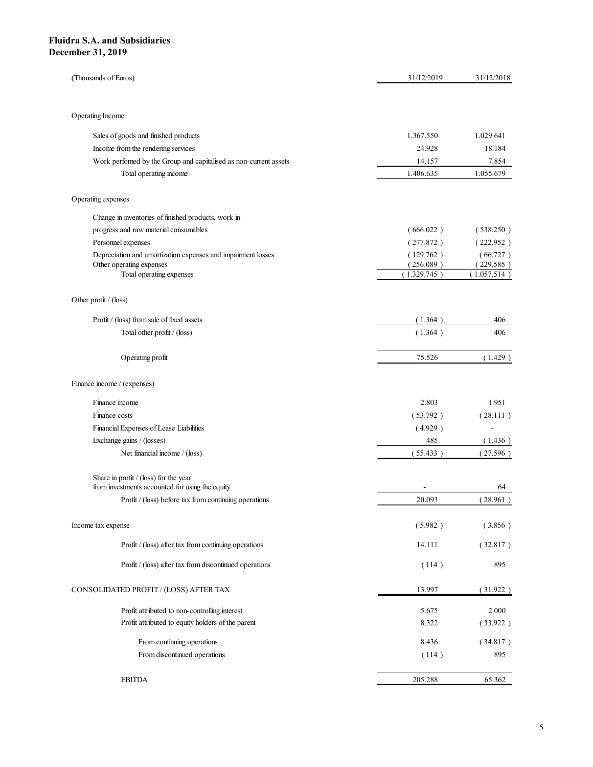| dra S.A. and Subsidiaries                                                                              |                          |                          |
|--------------------------------------------------------------------------------------------------------|--------------------------|--------------------------|
| ember 31, 2019                                                                                         |                          |                          |
|                                                                                                        |                          |                          |
| (Thousands of Euros)                                                                                   | 31/12/2019               | 31/12/2018               |
|                                                                                                        |                          |                          |
| Operating Income                                                                                       |                          |                          |
|                                                                                                        |                          |                          |
| Sales of goods and finished products                                                                   | 1.367.550                | 1.029.641                |
| Income from the rendering services<br>Work perfomed by the Group and capitalised as non-current assets | 24.928<br>14.157         | 18.184<br>7.854          |
| Total operating income                                                                                 | 1.406.635                | 1.055.679                |
|                                                                                                        |                          |                          |
| Operating expenses                                                                                     |                          |                          |
| Change in inventories of finished products, work in                                                    |                          |                          |
| progress and raw material consumables                                                                  | (666.022)                | (538.250)                |
| Personnel expenses                                                                                     | (277.872)                | (222.952)                |
| Depreciation and amortization expenses and impairment losses                                           | (129.762)                | (66.727)                 |
| Other operating expenses<br>Total operating expenses                                                   | (256.089)<br>(1.329.745) | (229.585)<br>(1.057.514) |
|                                                                                                        |                          |                          |
| Other profit / (loss)                                                                                  |                          |                          |
| Profit / (loss) from sale of fixed assets                                                              | (1.364)                  | 406                      |
| Total other profit / (loss)                                                                            | (1.364)                  | 406                      |
|                                                                                                        |                          |                          |
| Operating profit                                                                                       | 75.526                   | (1.429)                  |
|                                                                                                        |                          |                          |
| Finance income / (expenses)                                                                            |                          |                          |
| Finance income                                                                                         | 2.803                    | 1.951                    |
| Finance costs                                                                                          | (53.792)                 | (28.111)                 |
| Financial Expenses of Lease Liabilities                                                                | (4.929)                  | $\sim$                   |
| Exchange gains / (losses)                                                                              | 485                      | (1.436)                  |
| Net financial income / (loss)                                                                          | (55.433)                 | (27.596)                 |
| Share in profit / (loss) for the year                                                                  |                          |                          |
| from investments accounted for using the equity                                                        | $\sim$                   | 64                       |
| Profit / (loss) before tax from continuing operations                                                  | 20.093                   | (28.961)                 |
|                                                                                                        |                          |                          |
| Income tax expense                                                                                     | (5.982)                  | (3.856)                  |
| Profit $/$ (loss) after tax from continuing operations                                                 | 14.111                   | (32.817)                 |
| Profit / (loss) after tax from discontinued operations                                                 | (114)                    | 895                      |
|                                                                                                        |                          |                          |
| CONSOLIDATED PROFIT / (LOSS) AFTER TAX                                                                 | 13.997                   | (31.922)                 |
| Profit attributed to non-controlling interest                                                          | 5.675                    | 2.000                    |
| Profit attributed to equity holders of the parent                                                      | 8.322                    | (33.922)                 |
|                                                                                                        |                          |                          |
| From continuing operations<br>From discontinued operations                                             | 8.436                    | (34.817)<br>895          |
|                                                                                                        | (114)                    |                          |
|                                                                                                        |                          |                          |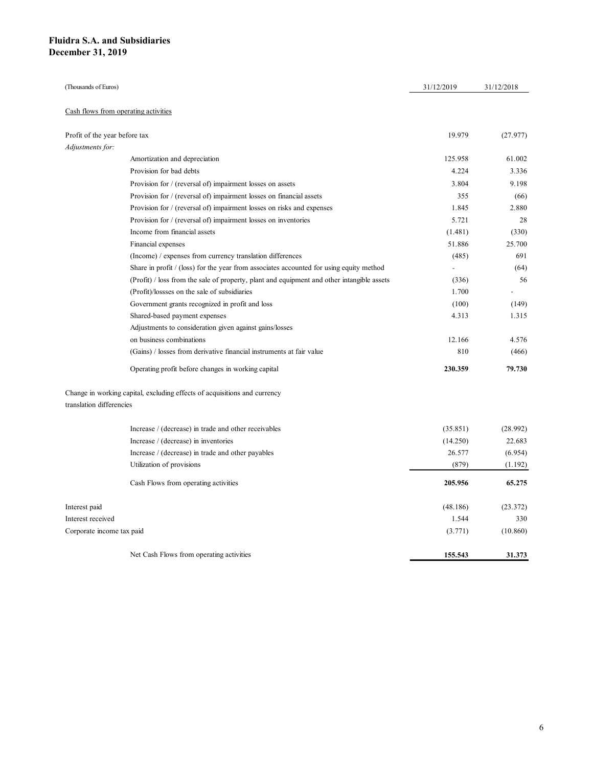| uidra S.A. and Subsidiaries<br>ecember 31, 2019 |                                                                                            |            |            |
|-------------------------------------------------|--------------------------------------------------------------------------------------------|------------|------------|
|                                                 |                                                                                            |            |            |
|                                                 |                                                                                            |            |            |
|                                                 |                                                                                            |            |            |
|                                                 |                                                                                            |            |            |
|                                                 |                                                                                            |            |            |
|                                                 |                                                                                            |            |            |
|                                                 |                                                                                            |            |            |
|                                                 |                                                                                            |            |            |
|                                                 |                                                                                            |            |            |
|                                                 |                                                                                            |            |            |
|                                                 |                                                                                            |            |            |
|                                                 |                                                                                            |            |            |
|                                                 |                                                                                            |            |            |
|                                                 |                                                                                            |            |            |
| (Thousands of Euros)                            |                                                                                            | 31/12/2019 | 31/12/2018 |
| Cash flows from operating activities            |                                                                                            |            |            |
|                                                 |                                                                                            |            |            |
| Profit of the year before tax                   |                                                                                            | 19.979     | (27.977)   |
| Adjustments for:                                |                                                                                            |            |            |
|                                                 | Amortization and depreciation                                                              | 125.958    | 61.002     |
|                                                 | Provision for bad debts                                                                    | 4.224      | 3.336      |
|                                                 | Provision for $/$ (reversal of) impairment losses on assets                                | 3.804      | 9.198      |
|                                                 | Provision for / (reversal of) impairment losses on financial assets                        | 355        | (66)       |
|                                                 | Provision for / (reversal of) impairment losses on risks and expenses                      | 1.845      | 2.880      |
|                                                 | Provision for / (reversal of) impairment losses on inventories                             | 5.721      | 28         |
|                                                 | Income from financial assets                                                               | (1.481)    | (330)      |
|                                                 | Financial expenses                                                                         | 51.886     | 25.700     |
|                                                 | (Income) / expenses from currency translation differences                                  | (485)      | 691        |
|                                                 | Share in profit $/$ (loss) for the year from associates accounted for using equity method  | $\sim$     | (64)       |
|                                                 | (Profit) / loss from the sale of property, plant and equipment and other intangible assets | (336)      | 56         |
|                                                 | (Profit)/lossses on the sale of subsidiaries                                               | 1.700      | $\sim$     |
|                                                 | Government grants recognized in profit and loss                                            | (100)      | (149)      |
|                                                 | Shared-based payment expenses                                                              | 4.313      | 1.315      |
|                                                 | Adjustments to consideration given against gains/losses                                    |            |            |
|                                                 | on business combinations                                                                   | 12.166     | 4.576      |
|                                                 | (Gains) / losses from derivative financial instruments at fair value                       | 810        | (466)      |
|                                                 | Operating profit before changes in working capital                                         | 230.359    | 79.730     |
|                                                 |                                                                                            |            |            |
|                                                 | Change in working capital, excluding effects of acquisitions and currency                  |            |            |
| translation differencies                        |                                                                                            |            |            |
|                                                 |                                                                                            |            |            |
|                                                 | Increase / (decrease) in trade and other receivables                                       | (35.851)   | (28.992)   |
|                                                 | Increase / (decrease) in inventories                                                       | (14.250)   | 22.683     |
|                                                 | Increase / (decrease) in trade and other payables                                          | 26.577     | (6.954)    |
|                                                 | Utilization of provisions                                                                  | (879)      | (1.192)    |
|                                                 | Cash Flows from operating activities                                                       | 205.956    | 65.275     |
|                                                 |                                                                                            |            |            |
| Interest paid                                   |                                                                                            | (48.186)   | (23.372)   |
| Interest received                               |                                                                                            | 1.544      | 330        |
| Corporate income tax paid                       |                                                                                            | (3.771)    | (10.860)   |
|                                                 |                                                                                            |            |            |
|                                                 | Net Cash Flows from operating activities                                                   | 155.543    | 31.373     |
|                                                 |                                                                                            |            |            |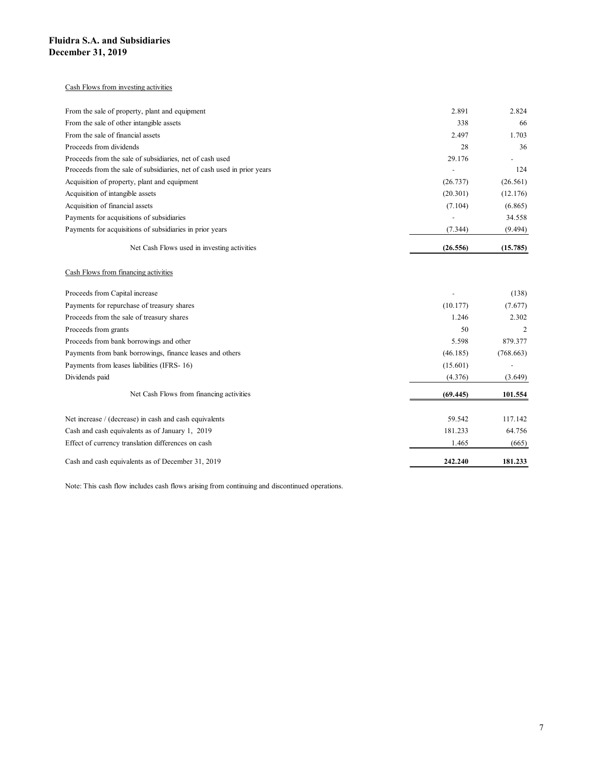#### Cash Flows from investing activities

| idra S.A. and Subsidiaries                                              |          |                          |
|-------------------------------------------------------------------------|----------|--------------------------|
| ember 31, 2019                                                          |          |                          |
|                                                                         |          |                          |
|                                                                         |          |                          |
| Cash Flows from investing activities                                    |          |                          |
| From the sale of property, plant and equipment                          | 2.891    | 2.824                    |
| From the sale of other intangible assets                                | 338      | 66                       |
| From the sale of financial assets                                       | 2.497    | 1.703                    |
| Proceeds from dividends                                                 | 28       | 36                       |
| Proceeds from the sale of subsidiaries, net of cash used                | 29.176   | $\overline{\phantom{a}}$ |
| Proceeds from the sale of subsidiaries, net of cash used in prior years | $\sim$   | 124                      |
| Acquisition of property, plant and equipment                            | (26.737) | (26.561)                 |
| Acquisition of intangible assets                                        | (20.301) | (12.176)                 |
| Acquisition of financial assets                                         | (7.104)  | (6.865)                  |
| Payments for acquisitions of subsidiaries                               | $\sim$   | 34.558                   |
| Payments for acquisitions of subsidiaries in prior years                | (7.344)  | (9.494)                  |
| Net Cash Flows used in investing activities                             | (26.556) | (15.785)                 |
| Cash Flows from financing activities                                    |          |                          |
| Proceeds from Capital increase                                          |          | (138)                    |
| Payments for repurchase of treasury shares                              | (10.177) | (7.677)                  |
| Proceeds from the sale of treasury shares                               | 1.246    | 2.302                    |
| Proceeds from grants                                                    | 50       | $\overline{2}$           |
| Proceeds from bank borrowings and other                                 | 5.598    | 879.377                  |
| Payments from bank borrowings, finance leases and others                | (46.185) | (768.663)                |
| Payments from leases liabilities (IFRS-16)                              | (15.601) | $\overline{\phantom{a}}$ |
| Dividends paid                                                          | (4.376)  | (3.649)                  |
| Net Cash Flows from financing activities                                | (69.445) | 101.554                  |
|                                                                         |          |                          |

#### Cash Flows from financing activities

|                                                                         | 2.011    | 2. UZ-         |
|-------------------------------------------------------------------------|----------|----------------|
| From the sale of other intangible assets                                | 338      | 66             |
| From the sale of financial assets                                       | 2.497    | 1.703          |
| Proceeds from dividends                                                 | 28       | 36             |
| Proceeds from the sale of subsidiaries, net of cash used                | 29.176   |                |
| Proceeds from the sale of subsidiaries, net of cash used in prior years |          | 124            |
| Acquisition of property, plant and equipment                            | (26.737) | (26.561)       |
| Acquisition of intangible assets                                        | (20.301) | (12.176)       |
| Acquisition of financial assets                                         | (7.104)  | (6.865)        |
| Payments for acquisitions of subsidiaries                               | $\sim$   | 34.558         |
| Payments for acquisitions of subsidiaries in prior years                | (7.344)  | (9.494)        |
| Net Cash Flows used in investing activities                             | (26.556) | (15.785)       |
| Cash Flows from financing activities                                    |          |                |
| Proceeds from Capital increase                                          |          | (138)          |
| Payments for repurchase of treasury shares                              | (10.177) | (7.677)        |
| Proceeds from the sale of treasury shares                               | 1.246    | 2.302          |
| Proceeds from grants                                                    | 50       | $\overline{2}$ |
| Proceeds from bank borrowings and other                                 | 5.598    | 879.377        |
| Payments from bank borrowings, finance leases and others                | (46.185) | (768.663)      |
| Payments from leases liabilities (IFRS-16)                              | (15.601) |                |
| Dividends paid                                                          | (4.376)  | (3.649)        |
| Net Cash Flows from financing activities                                | (69.445) | 101.554        |
| Net increase / (decrease) in cash and cash equivalents                  | 59.542   | 117.142        |
| Cash and cash equivalents as of January 1, 2019                         | 181.233  | 64.756         |
|                                                                         | 1.465    | (665)          |
| Effect of currency translation differences on cash                      |          |                |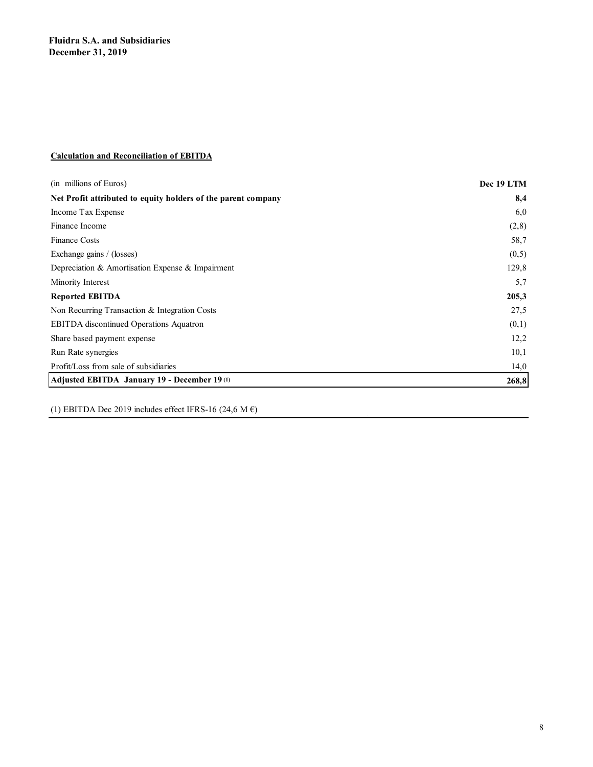### Calculation and Reconciliation of EBITDA

| <b>Fluidra S.A. and Subsidiaries</b>                          |            |
|---------------------------------------------------------------|------------|
| December 31, 2019                                             |            |
|                                                               |            |
|                                                               |            |
|                                                               |            |
|                                                               |            |
|                                                               |            |
|                                                               |            |
| <b>Calculation and Reconciliation of EBITDA</b>               |            |
|                                                               |            |
| (in millions of Euros)                                        | Dec 19 LTM |
| Net Profit attributed to equity holders of the parent company | 8,4        |
| Income Tax Expense                                            | 6,0        |
| Finance Income                                                | (2, 8)     |
| Finance Costs                                                 | 58,7       |
| Exchange gains / (losses)                                     | (0,5)      |
| Depreciation & Amortisation Expense & Impairment              | 129,8      |
| Minority Interest                                             | 5,7        |
| <b>Reported EBITDA</b>                                        | 205,3      |
| Non Recurring Transaction & Integration Costs                 | 27,5       |
| EBITDA discontinued Operations Aquatron                       | (0,1)      |
| Share based payment expense                                   | 12,2       |
| Run Rate synergies                                            | 10,1       |
|                                                               | 14,0       |
| Profit/Loss from sale of subsidiaries                         |            |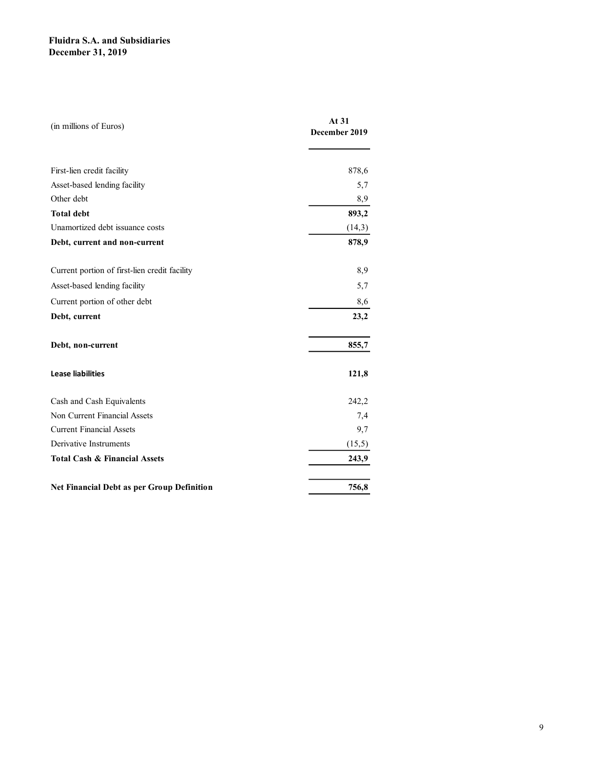| <b>Fluidra S.A. and Subsidiaries</b><br><b>December 31, 2019</b> |                        |
|------------------------------------------------------------------|------------------------|
|                                                                  |                        |
|                                                                  |                        |
|                                                                  |                        |
|                                                                  |                        |
| (in millions of Euros)                                           | At 31<br>December 2019 |
|                                                                  |                        |
|                                                                  |                        |
| First-lien credit facility                                       | 878,6                  |
| Asset-based lending facility                                     | 5,7                    |
| Other debt                                                       | 8,9                    |
| <b>Total debt</b>                                                | 893,2                  |
| Unamortized debt issuance costs                                  | (14,3)                 |
| Debt, current and non-current                                    | 878,9                  |
| Current portion of first-lien credit facility                    | 8,9                    |
| Asset-based lending facility                                     | 5,7                    |
|                                                                  |                        |
| Current portion of other debt                                    | 8,6                    |
| Debt, current                                                    | 23,2                   |
| Debt, non-current                                                | 855,7                  |
|                                                                  |                        |
| <b>Lease liabilities</b>                                         | 121,8                  |
|                                                                  |                        |
| Cash and Cash Equivalents                                        | 242,2                  |
| Non Current Financial Assets                                     | 7,4                    |
| <b>Current Financial Assets</b>                                  | 9,7                    |
| Derivative Instruments                                           | (15,5)                 |
| <b>Total Cash &amp; Financial Assets</b>                         | 243,9                  |
|                                                                  |                        |
| Net Financial Debt as per Group Definition                       | 756,8                  |